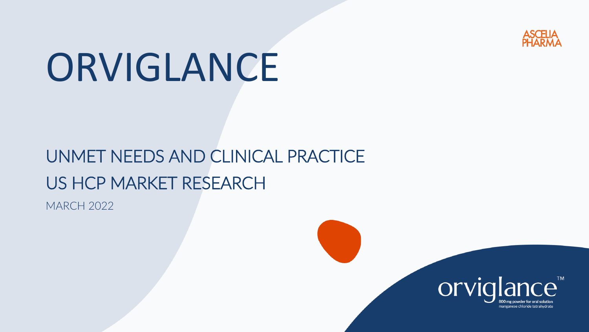

# ORVIGLANCE

## UNMET NEEDS AND CLINICAL PRACTICE US HCP MARKET RESEARCH

MARCH 2022

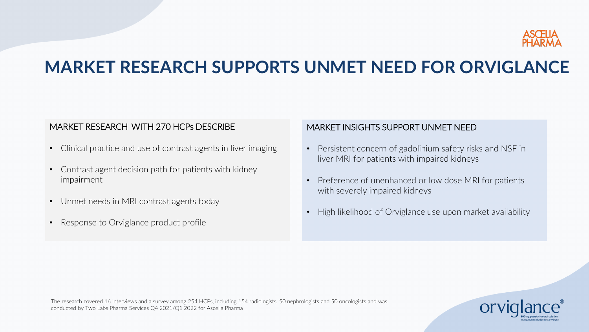

### **MARKET RESEARCH SUPPORTS UNMET NEED FOR ORVIGLANCE**

#### MARKET RESEARCH WITH 270 HCPs DESCRIBE

- Clinical practice and use of contrast agents in liver imaging
- Contrast agent decision path for patients with kidney impairment
- Unmet needs in MRI contrast agents today
- Response to Orviglance product profile

#### MARKET INSIGHTS SUPPORT UNMET NEED

- Persistent concern of gadolinium safety risks and NSF in liver MRI for patients with impaired kidneys
- Preference of unenhanced or low dose MRI for patients with severely impaired kidneys
- High likelihood of Orviglance use upon market availability

The research covered 16 interviews and a survey among 254 HCPs, including 154 radiologists, 50 nephrologists and 50 oncologists and was conducted by Two Labs Pharma Services Q4 2021/Q1 2022 for Ascelia Pharma

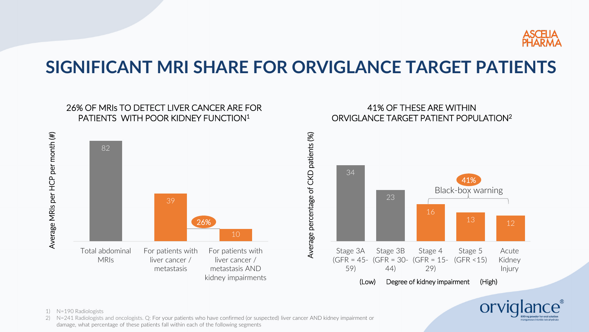

Or<sup>'</sup>

### **SIGNIFICANT MRI SHARE FOR ORVIGLANCE TARGET PATIENTS**



2) N=241 Radiologists and oncologists. Q: For your patients who have confirmed (or suspected) liver cancer AND kidney impairment or damage, what percentage of these patients fall within each of the following segments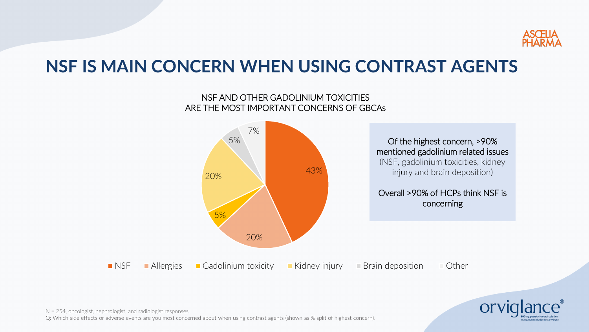

### **NSF IS MAIN CONCERN WHEN USING CONTRAST AGENTS**

#### NSF AND OTHER GADOLINIUM TOXICITIES ARE THE MOST IMPORTANT CONCERNS OF GBCAs





N = 254, oncologist, nephrologist, and radiologist responses.

Q: Which side effects or adverse events are you most concerned about when using contrast agents (shown as % split of highest concern).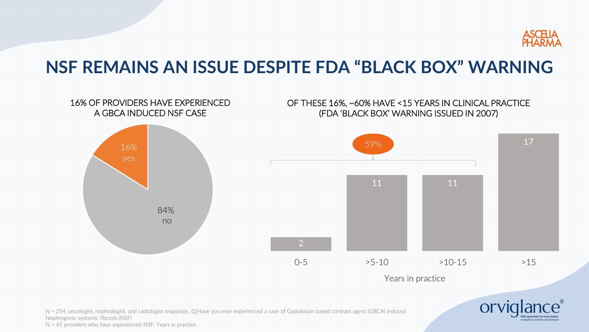

### **NSF REMAINS AN ISSUE DESPITE FDA "BLACK BOX" WARNING**



N = 254, oncologist, nephrologist, and radiologist responses. Q:Have you ever experienced a case of Gadolinium based contrast agent (GBCA) induced Nephrogenic systemic fibrosis (NSF) N = 41 providers who have experienced NSF. Years in practice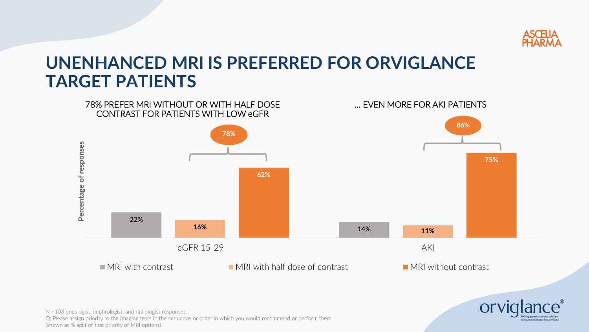

### **UNENHANCED MRI IS PREFERRED FOR ORVIGLANCE TARGET PATIENTS**





N =103 oncologist, nephrologist, and radiologist responses. Q: Please assign priority to the imaging tests in the sequence or order in which you would recommend or perform them (shown as % split of first priority of MRI options)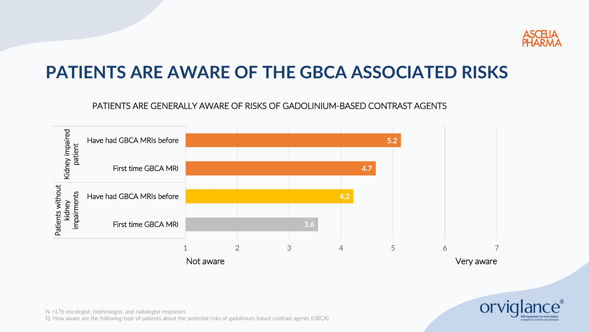

### **PATIENTS ARE AWARE OF THE GBCA ASSOCIATED RISKS**

#### PATIENTS ARE GENERALLY AWARE OF RISKS OF GADOLINIUM-BASED CONTRAST AGENTS





N =176 oncologist, nephrologist, and radiologist responses Q: How aware are the following type of patients about the potential risks of gadolinium-based contrast agents (GBCA)